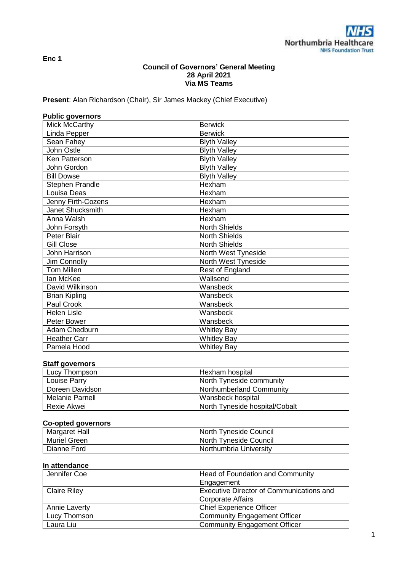**Enc 1**

## **Council of Governors' General Meeting 28 April 2021 Via MS Teams**

**Present**: Alan Richardson (Chair), Sir James Mackey (Chief Executive)

| <b>Public governors</b> |                      |
|-------------------------|----------------------|
| <b>Mick McCarthy</b>    | <b>Berwick</b>       |
| Linda Pepper            | <b>Berwick</b>       |
| Sean Fahey              | <b>Blyth Valley</b>  |
| John Ostle              | <b>Blyth Valley</b>  |
| Ken Patterson           | <b>Blyth Valley</b>  |
| John Gordon             | <b>Blyth Valley</b>  |
| <b>Bill Dowse</b>       | <b>Blyth Valley</b>  |
| Stephen Prandle         | Hexham               |
| Louisa Deas             | Hexham               |
| Jenny Firth-Cozens      | Hexham               |
| Janet Shucksmith        | Hexham               |
| Anna Walsh              | Hexham               |
| John Forsyth            | <b>North Shields</b> |
| Peter Blair             | <b>North Shields</b> |
| <b>Gill Close</b>       | <b>North Shields</b> |
| John Harrison           | North West Tyneside  |
| Jim Connolly            | North West Tyneside  |
| <b>Tom Millen</b>       | Rest of England      |
| lan McKee               | Wallsend             |
| David Wilkinson         | Wansbeck             |
| <b>Brian Kipling</b>    | Wansbeck             |
| Paul Crook              | Wansbeck             |
| <b>Helen Lisle</b>      | Wansbeck             |
| Peter Bower             | Wansbeck             |
| Adam Chedburn           | <b>Whitley Bay</b>   |
| <b>Heather Carr</b>     | <b>Whitley Bay</b>   |
| Pamela Hood             | <b>Whitley Bay</b>   |

## **Staff governors**

| Lucy Thompson   | Hexham hospital                |
|-----------------|--------------------------------|
| Louise Parry    | North Tyneside community       |
| Doreen Davidson | Northumberland Community       |
| Melanie Parnell | Wansbeck hospital              |
| Rexie Akwei     | North Tyneside hospital/Cobalt |

# **Co-opted governors**

| <b>Margaret Hall</b> | North Tyneside Council |
|----------------------|------------------------|
| <b>Muriel Green</b>  | North Tyneside Council |
| Dianne Ford          | Northumbria University |

# **In attendance**

| Jennifer Coe        | Head of Foundation and Community         |
|---------------------|------------------------------------------|
|                     | Engagement                               |
| <b>Claire Riley</b> | Executive Director of Communications and |
|                     | <b>Corporate Affairs</b>                 |
| Annie Laverty       | <b>Chief Experience Officer</b>          |
| Lucy Thomson        | <b>Community Engagement Officer</b>      |
| Laura Liu           | <b>Community Engagement Officer</b>      |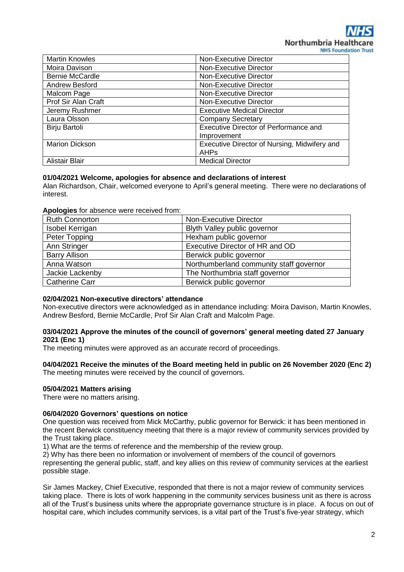| <b>Martin Knowles</b>  | Non-Executive Director                       |
|------------------------|----------------------------------------------|
| Moira Davison          | Non-Executive Director                       |
| <b>Bernie McCardle</b> | Non-Executive Director                       |
| Andrew Besford         | Non-Executive Director                       |
| Malcom Page            | Non-Executive Director                       |
| Prof Sir Alan Craft    | Non-Executive Director                       |
| Jeremy Rushmer         | <b>Executive Medical Director</b>            |
| Laura Olsson           | <b>Company Secretary</b>                     |
| Birju Bartoli          | Executive Director of Performance and        |
|                        | Improvement                                  |
| <b>Marion Dickson</b>  | Executive Director of Nursing, Midwifery and |
|                        | <b>AHPs</b>                                  |
| Alistair Blair         | <b>Medical Director</b>                      |

## **01/04/2021 Welcome, apologies for absence and declarations of interest**

Alan Richardson, Chair, welcomed everyone to April's general meeting. There were no declarations of interest.

### **Apologies** for absence were received from:

| <b>Ruth Connorton</b> | <b>Non-Executive Director</b>           |
|-----------------------|-----------------------------------------|
| Isobel Kerrigan       | Blyth Valley public governor            |
| Peter Topping         | Hexham public governor                  |
| Ann Stringer          | Executive Director of HR and OD         |
| <b>Barry Allison</b>  | Berwick public governor                 |
| Anna Watson           | Northumberland community staff governor |
| Jackie Lackenby       | The Northumbria staff governor          |
| <b>Catherine Carr</b> | Berwick public governor                 |

## **02/04/2021 Non-executive directors' attendance**

Non-executive directors were acknowledged as in attendance including: Moira Davison, Martin Knowles, Andrew Besford, Bernie McCardle, Prof Sir Alan Craft and Malcolm Page.

## **03/04/2021 Approve the minutes of the council of governors' general meeting dated 27 January 2021 (Enc 1)**

The meeting minutes were approved as an accurate record of proceedings.

# **04/04/2021 Receive the minutes of the Board meeting held in public on 26 November 2020 (Enc 2)**

The meeting minutes were received by the council of governors.

## **05/04/2021 Matters arising**

There were no matters arising.

## **06/04/2020 Governors' questions on notice**

One question was received from Mick McCarthy, public governor for Berwick: it has been mentioned in the recent Berwick constituency meeting that there is a major review of community services provided by the Trust taking place.

1) What are the terms of reference and the membership of the review group.

2) Why has there been no information or involvement of members of the council of governors

representing the general public, staff, and key allies on this review of community services at the earliest possible stage.

Sir James Mackey, Chief Executive, responded that there is not a major review of community services taking place. There is lots of work happening in the community services business unit as there is across all of the Trust's business units where the appropriate governance structure is in place. A focus on out of hospital care, which includes community services, is a vital part of the Trust's five-year strategy, which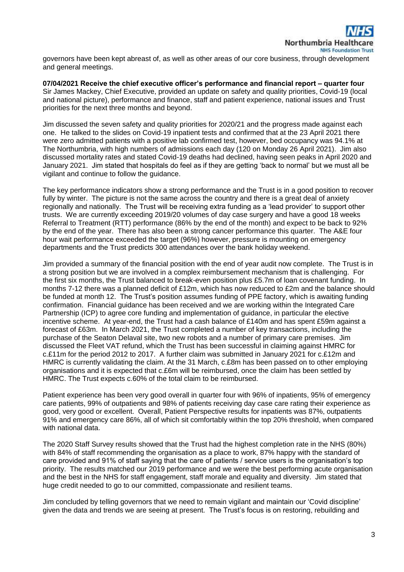governors have been kept abreast of, as well as other areas of our core business, through development and general meetings.

**07/04/2021 Receive the chief executive officer's performance and financial report – quarter four** Sir James Mackey, Chief Executive, provided an update on safety and quality priorities, Covid-19 (local and national picture), performance and finance, staff and patient experience, national issues and Trust priorities for the next three months and beyond.

Jim discussed the seven safety and quality priorities for 2020/21 and the progress made against each one. He talked to the slides on Covid-19 inpatient tests and confirmed that at the 23 April 2021 there were zero admitted patients with a positive lab confirmed test, however, bed occupancy was 94.1% at The Northumbria, with high numbers of admissions each day (120 on Monday 26 April 2021). Jim also discussed mortality rates and stated Covid-19 deaths had declined, having seen peaks in April 2020 and January 2021. Jim stated that hospitals do feel as if they are getting 'back to normal' but we must all be vigilant and continue to follow the guidance.

The key performance indicators show a strong performance and the Trust is in a good position to recover fully by winter. The picture is not the same across the country and there is a great deal of anxiety regionally and nationally. The Trust will be receiving extra funding as a 'lead provider' to support other trusts. We are currently exceeding 2019/20 volumes of day case surgery and have a good 18 weeks Referral to Treatment (RTT) performance (86% by the end of the month) and expect to be back to 92% by the end of the year. There has also been a strong cancer performance this quarter. The A&E four hour wait performance exceeded the target (96%) however, pressure is mounting on emergency departments and the Trust predicts 300 attendances over the bank holiday weekend.

Jim provided a summary of the financial position with the end of year audit now complete. The Trust is in a strong position but we are involved in a complex reimbursement mechanism that is challenging. For the first six months, the Trust balanced to break-even position plus £5.7m of loan covenant funding. In months 7-12 there was a planned deficit of £12m, which has now reduced to £2m and the balance should be funded at month 12. The Trust's position assumes funding of PPE factory, which is awaiting funding confirmation. Financial guidance has been received and we are working within the Integrated Care Partnership (ICP) to agree core funding and implementation of guidance, in particular the elective incentive scheme. At year-end, the Trust had a cash balance of £140m and has spent £59m against a forecast of £63m. In March 2021, the Trust completed a number of key transactions, including the purchase of the Seaton Delaval site, two new robots and a number of primary care premises. Jim discussed the Fleet VAT refund, which the Trust has been successful in claiming against HMRC for c.£11m for the period 2012 to 2017. A further claim was submitted in January 2021 for c.£12m and HMRC is currently validating the claim. At the 31 March, c.£8m has been passed on to other employing organisations and it is expected that c.£6m will be reimbursed, once the claim has been settled by HMRC. The Trust expects c.60% of the total claim to be reimbursed.

Patient experience has been very good overall in quarter four with 96% of inpatients, 95% of emergency care patients, 99% of outpatients and 98% of patients receiving day case care rating their experience as good, very good or excellent. Overall, Patient Perspective results for inpatients was 87%, outpatients 91% and emergency care 86%, all of which sit comfortably within the top 20% threshold, when compared with national data.

The 2020 Staff Survey results showed that the Trust had the highest completion rate in the NHS (80%) with 84% of staff recommending the organisation as a place to work, 87% happy with the standard of care provided and 91% of staff saying that the care of patients / service users is the organisation's top priority. The results matched our 2019 performance and we were the best performing acute organisation and the best in the NHS for staff engagement, staff morale and equality and diversity. Jim stated that huge credit needed to go to our committed, compassionate and resilient teams.

Jim concluded by telling governors that we need to remain vigilant and maintain our 'Covid discipline' given the data and trends we are seeing at present. The Trust's focus is on restoring, rebuilding and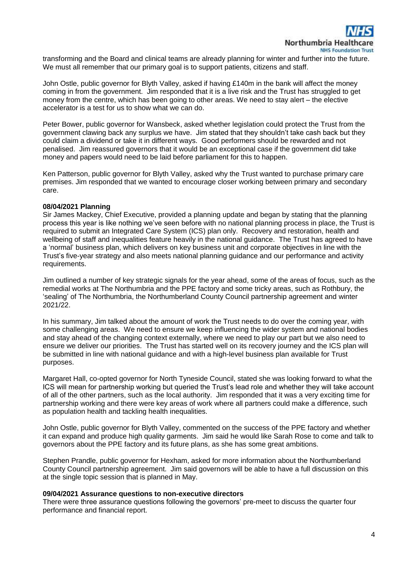transforming and the Board and clinical teams are already planning for winter and further into the future. We must all remember that our primary goal is to support patients, citizens and staff.

John Ostle, public governor for Blyth Valley, asked if having £140m in the bank will affect the money coming in from the government. Jim responded that it is a live risk and the Trust has struggled to get money from the centre, which has been going to other areas. We need to stay alert – the elective accelerator is a test for us to show what we can do.

Peter Bower, public governor for Wansbeck, asked whether legislation could protect the Trust from the government clawing back any surplus we have. Jim stated that they shouldn't take cash back but they could claim a dividend or take it in different ways. Good performers should be rewarded and not penalised. Jim reassured governors that it would be an exceptional case if the government did take money and papers would need to be laid before parliament for this to happen.

Ken Patterson, public governor for Blyth Valley, asked why the Trust wanted to purchase primary care premises. Jim responded that we wanted to encourage closer working between primary and secondary care.

### **08/04/2021 Planning**

Sir James Mackey, Chief Executive, provided a planning update and began by stating that the planning process this year is like nothing we've seen before with no national planning process in place, the Trust is required to submit an Integrated Care System (ICS) plan only. Recovery and restoration, health and wellbeing of staff and inequalities feature heavily in the national guidance. The Trust has agreed to have a 'normal' business plan, which delivers on key business unit and corporate objectives in line with the Trust's five-year strategy and also meets national planning guidance and our performance and activity requirements.

Jim outlined a number of key strategic signals for the year ahead, some of the areas of focus, such as the remedial works at The Northumbria and the PPE factory and some tricky areas, such as Rothbury, the 'sealing' of The Northumbria, the Northumberland County Council partnership agreement and winter 2021/22.

In his summary, Jim talked about the amount of work the Trust needs to do over the coming year, with some challenging areas. We need to ensure we keep influencing the wider system and national bodies and stay ahead of the changing context externally, where we need to play our part but we also need to ensure we deliver our priorities. The Trust has started well on its recovery journey and the ICS plan will be submitted in line with national guidance and with a high-level business plan available for Trust purposes.

Margaret Hall, co-opted governor for North Tyneside Council, stated she was looking forward to what the ICS will mean for partnership working but queried the Trust's lead role and whether they will take account of all of the other partners, such as the local authority. Jim responded that it was a very exciting time for partnership working and there were key areas of work where all partners could make a difference, such as population health and tackling health inequalities.

John Ostle, public governor for Blyth Valley, commented on the success of the PPE factory and whether it can expand and produce high quality garments. Jim said he would like Sarah Rose to come and talk to governors about the PPE factory and its future plans, as she has some great ambitions.

Stephen Prandle, public governor for Hexham, asked for more information about the Northumberland County Council partnership agreement. Jim said governors will be able to have a full discussion on this at the single topic session that is planned in May.

#### **09/04/2021 Assurance questions to non-executive directors**

There were three assurance questions following the governors' pre-meet to discuss the quarter four performance and financial report.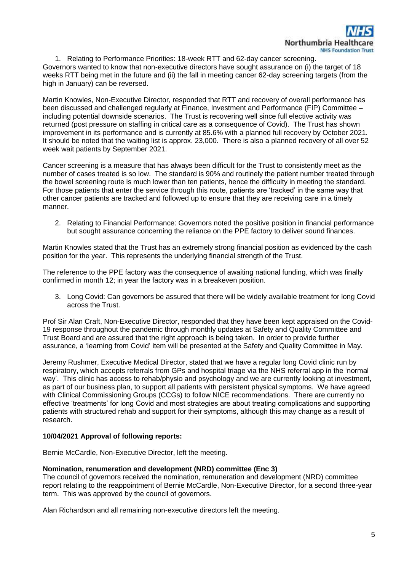1. Relating to Performance Priorities: 18-week RTT and 62-day cancer screening. Governors wanted to know that non-executive directors have sought assurance on (i) the target of 18 weeks RTT being met in the future and (ii) the fall in meeting cancer 62-day screening targets (from the high in January) can be reversed.

Martin Knowles, Non-Executive Director, responded that RTT and recovery of overall performance has been discussed and challenged regularly at Finance, Investment and Performance (FIP) Committee – including potential downside scenarios. The Trust is recovering well since full elective activity was returned (post pressure on staffing in critical care as a consequence of Covid). The Trust has shown improvement in its performance and is currently at 85.6% with a planned full recovery by October 2021. It should be noted that the waiting list is approx. 23,000. There is also a planned recovery of all over 52 week wait patients by September 2021.

Cancer screening is a measure that has always been difficult for the Trust to consistently meet as the number of cases treated is so low. The standard is 90% and routinely the patient number treated through the bowel screening route is much lower than ten patients, hence the difficulty in meeting the standard. For those patients that enter the service through this route, patients are 'tracked' in the same way that other cancer patients are tracked and followed up to ensure that they are receiving care in a timely manner.

2. Relating to Financial Performance: Governors noted the positive position in financial performance but sought assurance concerning the reliance on the PPE factory to deliver sound finances.

Martin Knowles stated that the Trust has an extremely strong financial position as evidenced by the cash position for the year. This represents the underlying financial strength of the Trust.

The reference to the PPE factory was the consequence of awaiting national funding, which was finally confirmed in month 12; in year the factory was in a breakeven position.

3. Long Covid: Can governors be assured that there will be widely available treatment for long Covid across the Trust.

Prof Sir Alan Craft, Non-Executive Director, responded that they have been kept appraised on the Covid-19 response throughout the pandemic through monthly updates at Safety and Quality Committee and Trust Board and are assured that the right approach is being taken. In order to provide further assurance, a 'learning from Covid' item will be presented at the Safety and Quality Committee in May.

Jeremy Rushmer, Executive Medical Director, stated that we have a regular long Covid clinic run by respiratory, which accepts referrals from GPs and hospital triage via the NHS referral app in the 'normal way'. This clinic has access to rehab/physio and psychology and we are currently looking at investment, as part of our business plan, to support all patients with persistent physical symptoms. We have agreed with Clinical Commissioning Groups (CCGs) to follow NICE recommendations. There are currently no effective 'treatments' for long Covid and most strategies are about treating complications and supporting patients with structured rehab and support for their symptoms, although this may change as a result of research.

## **10/04/2021 Approval of following reports:**

Bernie McCardle, Non-Executive Director, left the meeting.

## **Nomination, renumeration and development (NRD) committee (Enc 3)**

The council of governors received the nomination, remuneration and development (NRD) committee report relating to the reappointment of Bernie McCardle, Non-Executive Director, for a second three-year term. This was approved by the council of governors.

Alan Richardson and all remaining non-executive directors left the meeting.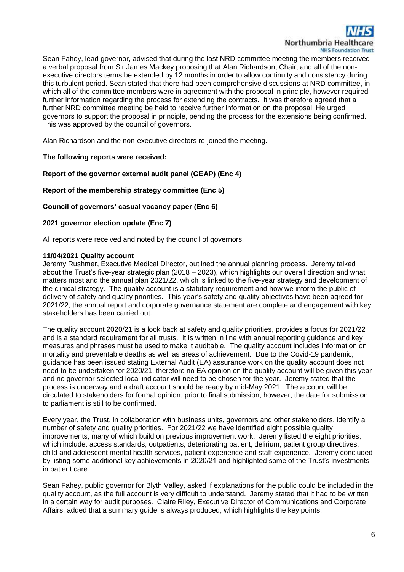

Sean Fahey, lead governor, advised that during the last NRD committee meeting the members received a verbal proposal from Sir James Mackey proposing that Alan Richardson, Chair, and all of the nonexecutive directors terms be extended by 12 months in order to allow continuity and consistency during this turbulent period. Sean stated that there had been comprehensive discussions at NRD committee, in which all of the committee members were in agreement with the proposal in principle, however required further information regarding the process for extending the contracts. It was therefore agreed that a further NRD committee meeting be held to receive further information on the proposal. He urged governors to support the proposal in principle, pending the process for the extensions being confirmed. This was approved by the council of governors.

Alan Richardson and the non-executive directors re-joined the meeting.

## **The following reports were received:**

## **Report of the governor external audit panel (GEAP) (Enc 4)**

### **Report of the membership strategy committee (Enc 5)**

# **Council of governors' casual vacancy paper (Enc 6)**

### **2021 governor election update (Enc 7)**

All reports were received and noted by the council of governors.

### **11/04/2021 Quality account**

Jeremy Rushmer, Executive Medical Director, outlined the annual planning process. Jeremy talked about the Trust's five-year strategic plan (2018 – 2023), which highlights our overall direction and what matters most and the annual plan 2021/22, which is linked to the five-year strategy and development of the clinical strategy. The quality account is a statutory requirement and how we inform the public of delivery of safety and quality priorities. This year's safety and quality objectives have been agreed for 2021/22, the annual report and corporate governance statement are complete and engagement with key stakeholders has been carried out.

The quality account 2020/21 is a look back at safety and quality priorities, provides a focus for 2021/22 and is a standard requirement for all trusts. It is written in line with annual reporting guidance and key measures and phrases must be used to make it auditable. The quality account includes information on mortality and preventable deaths as well as areas of achievement. Due to the Covid-19 pandemic, guidance has been issued stating External Audit (EA) assurance work on the quality account does not need to be undertaken for 2020/21, therefore no EA opinion on the quality account will be given this year and no governor selected local indicator will need to be chosen for the year. Jeremy stated that the process is underway and a draft account should be ready by mid-May 2021. The account will be circulated to stakeholders for formal opinion, prior to final submission, however, the date for submission to parliament is still to be confirmed.

Every year, the Trust, in collaboration with business units, governors and other stakeholders, identify a number of safety and quality priorities. For 2021/22 we have identified eight possible quality improvements, many of which build on previous improvement work. Jeremy listed the eight priorities, which include: access standards, outpatients, deteriorating patient, delirium, patient group directives, child and adolescent mental health services, patient experience and staff experience. Jeremy concluded by listing some additional key achievements in 2020/21 and highlighted some of the Trust's investments in patient care.

Sean Fahey, public governor for Blyth Valley, asked if explanations for the public could be included in the quality account, as the full account is very difficult to understand. Jeremy stated that it had to be written in a certain way for audit purposes. Claire Riley, Executive Director of Communications and Corporate Affairs, added that a summary guide is always produced, which highlights the key points.